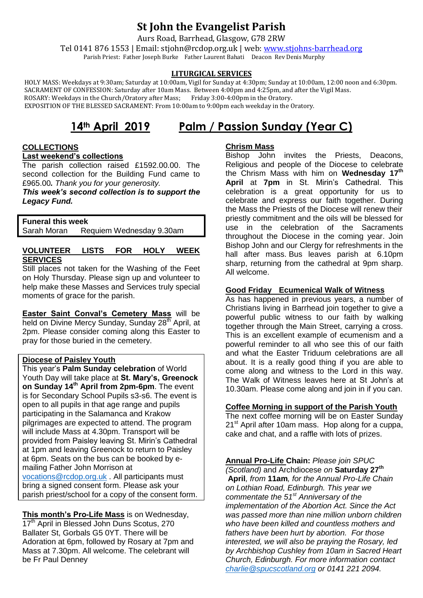# **St John the Evangelist Parish**

Aurs Road, Barrhead, Glasgow, G78 2RW

Tel 0141 876 1553 | Email: stjohn@rcdop.org.uk | web: [www.stjohns-barrhead.org](http://www.stjohns-barrhead.org/) Parish Priest: Father Joseph Burke Father Laurent Bahati Deacon Rev Denis Murphy

## **LITURGICAL SERVICES**

 HOLY MASS: Weekdays at 9:30am; Saturday at 10:00am, Vigil for Sunday at 4:30pm; Sunday at 10:00am, 12:00 noon and 6:30pm. SACRAMENT OF CONFESSION: Saturday after 10am Mass. Between 4:00pm and 4:25pm, and after the Vigil Mass.<br>ROSARY: Weekdays in the Church/Oratory after Mass; Friday 3:00-4:00pm in the Oratory. ROSARY: Weekdays in the Church/Oratory after Mass; EXPOSITION OF THE BLESSED SACRAMENT: From 10:00am to 9:00pm each weekday in the Oratory.

# **14th April 2019 Palm / Passion Sunday (Year C)**

## **COLLECTIONS Last weekend's collections**

The parish collection raised £1592.00.00. The second collection for the Building Fund came to £965.00*. Thank you for your generosity.*

*This week's second collection is to support the Legacy Fund.*

## **Funeral this week**

Sarah Moran Requiem Wednesday 9.30am

## **VOLUNTEER LISTS FOR HOLY WEEK SERVICES**

Still places not taken for the Washing of the Feet on Holy Thursday. Please sign up and volunteer to help make these Masses and Services truly special moments of grace for the parish.

**Easter Saint Conval's Cemetery Mass** will be held on Divine Mercy Sunday, Sunday 28<sup>th</sup> April, at 2pm. Please consider coming along this Easter to pray for those buried in the cemetery.

## **Diocese of Paisley Youth**

This year's **Palm Sunday celebration** of World Youth Day will take place at **St. Mary's, Greenock on Sunday 14th April from 2pm-6pm**. The event is for Secondary School Pupils s3-s6. The event is open to all pupils in that age range and pupils participating in the Salamanca and Krakow pilgrimages are expected to attend. The program will include Mass at 4.30pm. Transport will be provided from Paisley leaving St. Mirin's Cathedral at 1pm and leaving Greenock to return to Paisley at 6pm. Seats on the bus can be booked by emailing Father John Morrison at [vocations@rcdop.org.uk](mailto:vocations@rcdop.org.uk) . All participants must bring a signed consent form. Please ask your parish priest/school for a copy of the consent form.

**This month's Pro-Life Mass** is on Wednesday, 17<sup>th</sup> April in Blessed John Duns Scotus, 270 Ballater St, Gorbals G5 0YT. There will be Adoration at 6pm, followed by Rosary at 7pm and Mass at 7.30pm. All welcome. The celebrant will be Fr Paul Denney

## **Chrism Mass**

Bishop John invites the Priests, Deacons, Religious and people of the Diocese to celebrate the Chrism Mass with him on **Wednesday 17th April** at **7pm** in St. Mirin's Cathedral. This celebration is a great opportunity for us to celebrate and express our faith together. During the Mass the Priests of the Diocese will renew their priestly commitment and the oils will be blessed for use in the celebration of the Sacraments throughout the Diocese in the coming year. Join Bishop John and our Clergy for refreshments in the hall after mass. Bus leaves parish at 6.10pm sharp, returning from the cathedral at 9pm sharp. All welcome.

## **Good Friday Ecumenical Walk of Witness**

As has happened in previous years, a number of Christians living in Barrhead join together to give a powerful public witness to our faith by walking together through the Main Street, carrying a cross. This is an excellent example of ecumenism and a powerful reminder to all who see this of our faith and what the Easter Triduum celebrations are all about. It is a really good thing if you are able to come along and witness to the Lord in this way. The Walk of Witness leaves here at St John's at 10.30am. Please come along and join in if you can.

## **Coffee Morning in support of the Parish Youth**

The next coffee morning will be on Easter Sunday  $21<sup>st</sup>$  April after 10am mass. Hop along for a cuppa, cake and chat, and a raffle with lots of prizes.

**Annual Pro-Life Chain:** *Please join SPUC* 

*(Scotland)* and Archdiocese *on* **Saturday 27th April***, from* **11am***, for the Annual Pro-Life Chain on Lothian Road, Edinburgh. This year we commentate the 51st Anniversary of the implementation of the Abortion Act. Since the Act was passed more than nine million unborn children who have been killed and countless mothers and fathers have been hurt by abortion. For those interested, we will also be praying the Rosary, led by Archbishop Cushley from 10am in Sacred Heart Church, Edinburgh. For more information contact [charlie@spucscotland.org](mailto:charlie@spucscotland.org) or 0141 221 2094.*